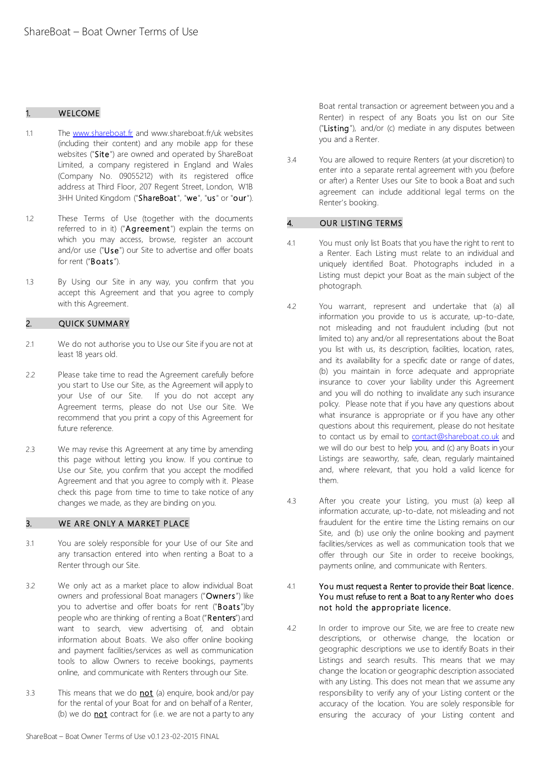### 1. WELCOME

- 1.1 The [www.shareboat.fr](http://www.shareboat.fr/) and www.shareboat.fr/uk websites (including their content) and any mobile app for these websites ("Site") are owned and operated by ShareBoat Limited, a company registered in England and Wales (Company No. 09055212) with its registered office address at Third Floor, 207 Regent Street, London, W1B 3HH United Kingdom ("ShareBoat", "we", "us" or "our").
- 1.2 These Terms of Use (together with the documents referred to in it) ("Agreement") explain the terms on which you may access, browse, register an account and/or use ("Use") our Site to advertise and offer boats for rent ("Boats").
- 1.3 By Using our Site in any way, you confirm that you accept this Agreement and that you agree to comply with this Agreement.

## 2. QUICK SUMMARY

- 2.1 We do not authorise you to Use our Site if you are not at least 18 years old.
- 2.2 Please take time to read the Agreement carefully before you start to Use our Site, as the Agreement will apply to your Use of our Site. If you do not accept any Agreement terms, please do not Use our Site. We recommend that you print a copy of this Agreement for future reference.
- 2.3 We may revise this Agreement at any time by amending this page without letting you know. If you continue to Use our Site, you confirm that you accept the modified Agreement and that you agree to comply with it. Please check this page from time to time to take notice of any changes we made, as they are binding on you.

#### 3. WE ARE ONLY A MARKET PLACE

- 3.1 You are solely responsible for your Use of our Site and any transaction entered into when renting a Boat to a Renter through our Site.
- 3.2 We only act as a market place to allow individual Boat owners and professional Boat managers ("Owners") like you to advertise and offer boats for rent ("Boats")by people who are thinking of renting a Boat ("Renters") and want to search, view advertising of, and obtain information about Boats. We also offer online booking and payment facilities/services as well as communication tools to allow Owners to receive bookings, payments online, and communicate with Renters through our Site.
- 3.3 This means that we do **not** (a) enquire, book and/or pay for the rental of your Boat for and on behalf of a Renter, (b) we do  $not$  contract for (i.e. we are not a party to any</u>

Boat rental transaction or agreement between you and a Renter) in respect of any Boats you list on our Site ("Listing"), and/or (c) mediate in any disputes between you and a Renter.

3.4 You are allowed to require Renters (at your discretion) to enter into a separate rental agreement with you (before or after) a Renter Uses our Site to book a Boat and such agreement can include additional legal terms on the Renter's booking.

#### 4. OUR LISTING TERMS

- 4.1 You must only list Boats that you have the right to rent to a Renter. Each Listing must relate to an individual and uniquely identified Boat. Photographs included in a Listing must depict your Boat as the main subject of the photograph.
- 4.2 You warrant, represent and undertake that (a) all information you provide to us is accurate, up-to-date, not misleading and not fraudulent including (but not limited to) any and/or all representations about the Boat you list with us, its description, facilities, location, rates, and its availability for a specific date or range of dates, (b) you maintain in force adequate and appropriate insurance to cover your liability under this Agreement and you will do nothing to invalidate any such insurance policy. Please note that if you have any questions about what insurance is appropriate or if you have any other questions about this requirement, please do not hesitate to contact us by email to **contact@shareboat.co.uk** and we will do our best to help you, and (c) any Boats in your Listings are seaworthy, safe, clean, regularly maintained and, where relevant, that you hold a valid licence for them.
- 4.3 After you create your Listing, you must (a) keep all information accurate, up-to-date, not misleading and not fraudulent for the entire time the Listing remains on our Site, and (b) use only the online booking and payment facilities/services as well as communication tools that we offer through our Site in order to receive bookings, payments online, and communicate with Renters.

#### 4.1 You must request a Renter to provide their Boat licence. You must refuse to rent a Boat to any Renter who does not hold the appropriate licence.

4.2 In order to improve our Site, we are free to create new descriptions, or otherwise change, the location or geographic descriptions we use to identify Boats in their Listings and search results. This means that we may change the location or geographic description associated with any Listing. This does not mean that we assume any responsibility to verify any of your Listing content or the accuracy of the location. You are solely responsible for ensuring the accuracy of your Listing content and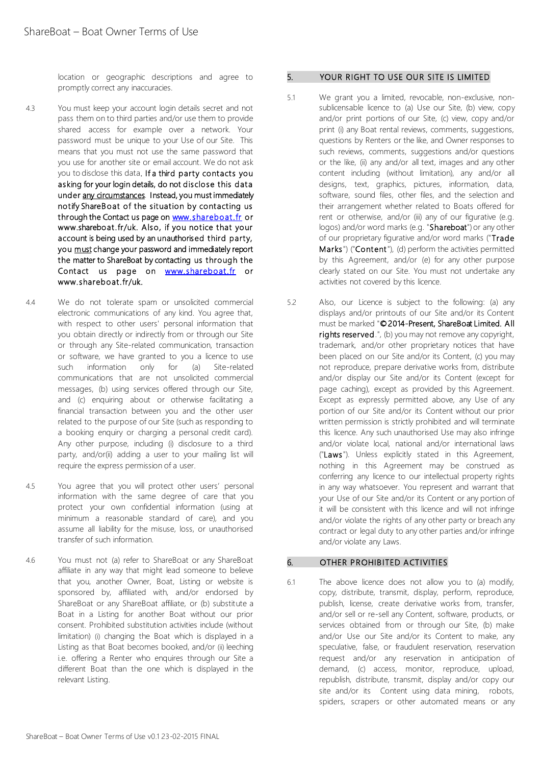location or geographic descriptions and agree to promptly correct any inaccuracies.

- 4.3 You must keep your account login details secret and not pass them on to third parties and/or use them to provide shared access for example over a network. Your password must be unique to your Use of our Site. This means that you must not use the same password that you use for another site or email account. We do not ask you to disclose this data. If a third party contacts you asking for your login details, do not disclose this data under any circumstances. Instead, you must immediately notify ShareBoat of the situation by contacting us through the Contact us page on w[ww.shareboat.fr](http://www.shareboat.fr/) or www.shareboat.fr/uk. Also, if you notice that your account is being used by an unauthorised third party, you must change your password and immediately report the matter to ShareBoat by contacting us through the Contact us page on w[ww.shareboat.fr](http://www.shareboat.fr/) or www.shareboat.fr/uk.
- 4.4 We do not tolerate spam or unsolicited commercial electronic communications of any kind. You agree that, with respect to other users' personal information that you obtain directly or indirectly from or through our Site or through any Site-related communication, transaction or software, we have granted to you a licence to use such information only for (a) Site-related communications that are not unsolicited commercial messages, (b) using services offered through our Site, and (c) enquiring about or otherwise facilitating a financial transaction between you and the other user related to the purpose of our Site (such as responding to a booking enquiry or charging a personal credit card). Any other purpose, including (i) disclosure to a third party, and/or(ii) adding a user to your mailing list will require the express permission of a user.
- 4.5 You agree that you will protect other users' personal information with the same degree of care that you protect your own confidential information (using at minimum a reasonable standard of care), and you assume all liability for the misuse, loss, or unauthorised transfer of such information.
- 4.6 You must not (a) refer to ShareBoat or any ShareBoat affiliate in any way that might lead someone to believe that you, another Owner, Boat, Listing or website is sponsored by, affiliated with, and/or endorsed by ShareBoat or any ShareBoat affiliate, or (b) substitute a Boat in a Listing for another Boat without our prior consent. Prohibited substitution activities include (without limitation) (i) changing the Boat which is displayed in a Listing as that Boat becomes booked, and/or (ii) leeching i.e. offering a Renter who enquires through our Site a different Boat than the one which is displayed in the relevant Listing.

### 5. YOUR RIGHT TO USE OUR SITE IS LIMITED

- 5.1 We grant you a limited, revocable, non-exclusive, nonsublicensable licence to (a) Use our Site, (b) view, copy and/or print portions of our Site, (c) view, copy and/or print (i) any Boat rental reviews, comments, suggestions, questions by Renters or the like, and Owner responses to such reviews, comments, suggestions and/or questions or the like, (ii) any and/or all text, images and any other content including (without limitation), any and/or all designs, text, graphics, pictures, information, data, software, sound files, other files, and the selection and their arrangement whether related to Boats offered for rent or otherwise, and/or (iii) any of our figurative (e.g. logos) and/or word marks (e.g. "Shareboat") or any other of our proprietary figurative and/or word marks ("Trade Marks") ("Content"), (d) perform the activities permitted by this Agreement, and/or (e) for any other purpose clearly stated on our Site. You must not undertake any activities not covered by this licence.
- 5.2 Also, our Licence is subject to the following: (a) any displays and/or printouts of our Site and/or its Content must be marked "©2014-Present, ShareBoat Limited. All rights reserved.", (b) you may not remove any copyright, trademark, and/or other proprietary notices that have been placed on our Site and/or its Content, (c) you may not reproduce, prepare derivative works from, distribute and/or display our Site and/or its Content (except for page caching), except as provided by this Agreement. Except as expressly permitted above, any Use of any portion of our Site and/or its Content without our prior written permission is strictly prohibited and will terminate this licence. Any such unauthorised Use may also infringe and/or violate local, national and/or international laws ("Laws"). Unless explicitly stated in this Agreement, nothing in this Agreement may be construed as conferring any licence to our intellectual property rights in any way whatsoever. You represent and warrant that your Use of our Site and/or its Content or any portion of it will be consistent with this licence and will not infringe and/or violate the rights of any other party or breach any contract or legal duty to any other parties and/or infringe and/or violate any Laws.

## 6. OTHER PROHIBITED ACTIVITIES

6.1 The above licence does not allow you to (a) modify, copy, distribute, transmit, display, perform, reproduce, publish, license, create derivative works from, transfer, and/or sell or re-sell any Content, software, products, or services obtained from or through our Site, (b) make and/or Use our Site and/or its Content to make, any speculative, false, or fraudulent reservation, reservation request and/or any reservation in anticipation of demand, (c) access, monitor, reproduce, upload, republish, distribute, transmit, display and/or copy our site and/or its Content using data mining, robots, spiders, scrapers or other automated means or any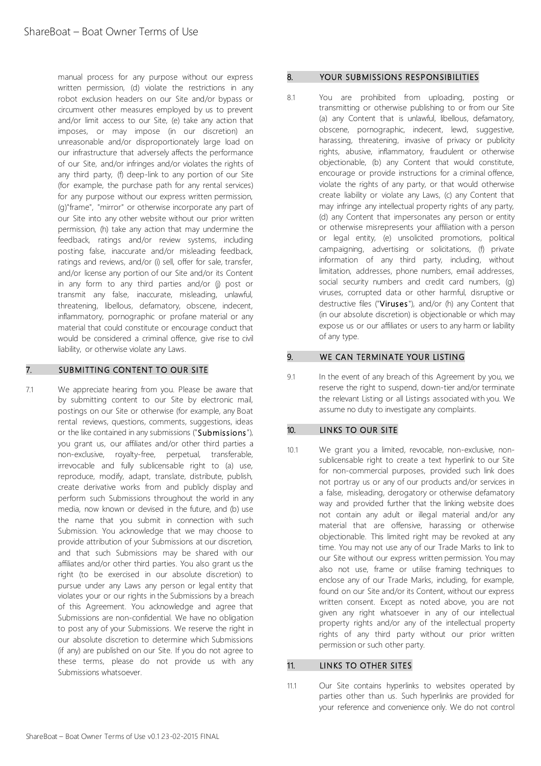manual process for any purpose without our express written permission, (d) violate the restrictions in any robot exclusion headers on our Site and/or bypass or circumvent other measures employed by us to prevent and/or limit access to our Site, (e) take any action that imposes, or may impose (in our discretion) an unreasonable and/or disproportionately large load on our infrastructure that adversely affects the performance of our Site, and/or infringes and/or violates the rights of any third party, (f) deep-link to any portion of our Site (for example, the purchase path for any rental services) for any purpose without our express written permission, (g)"frame", "mirror" or otherwise incorporate any part of our Site into any other website without our prior written permission, (h) take any action that may undermine the feedback, ratings and/or review systems, including posting false, inaccurate and/or misleading feedback, ratings and reviews, and/or (i) sell, offer for sale, transfer, and/or license any portion of our Site and/or its Content in any form to any third parties and/or (j) post or transmit any false, inaccurate, misleading, unlawful, threatening, libellous, defamatory, obscene, indecent, inflammatory, pornographic or profane material or any material that could constitute or encourage conduct that would be considered a criminal offence, give rise to civil liability, or otherwise violate any Laws.

## 7. SUBMITTING CONTENT TO OUR SITE

7.1 We appreciate hearing from you. Please be aware that by submitting content to our Site by electronic mail, postings on our Site or otherwise (for example, any Boat rental reviews, questions, comments, suggestions, ideas or the like contained in any submissions ("Submissions"), you grant us, our affiliates and/or other third parties a non-exclusive, royalty-free, perpetual, transferable, irrevocable and fully sublicensable right to (a) use, reproduce, modify, adapt, translate, distribute, publish, create derivative works from and publicly display and perform such Submissions throughout the world in any media, now known or devised in the future, and (b) use the name that you submit in connection with such Submission. You acknowledge that we may choose to provide attribution of your Submissions at our discretion, and that such Submissions may be shared with our affiliates and/or other third parties. You also grant us the right (to be exercised in our absolute discretion) to pursue under any Laws any person or legal entity that violates your or our rights in the Submissions by a breach of this Agreement. You acknowledge and agree that Submissions are non-confidential. We have no obligation to post any of your Submissions. We reserve the right in our absolute discretion to determine which Submissions (if any) are published on our Site. If you do not agree to these terms, please do not provide us with any Submissions whatsoever.

### 8. YOUR SUBMISSIONS RESPONSIBILITIES

8.1 You are prohibited from uploading, posting or transmitting or otherwise publishing to or from our Site (a) any Content that is unlawful, libellous, defamatory, obscene, pornographic, indecent, lewd, suggestive, harassing, threatening, invasive of privacy or publicity rights, abusive, inflammatory, fraudulent or otherwise objectionable, (b) any Content that would constitute, encourage or provide instructions for a criminal offence, violate the rights of any party, or that would otherwise create liability or violate any Laws, (c) any Content that may infringe any intellectual property rights of any party, (d) any Content that impersonates any person or entity or otherwise misrepresents your affiliation with a person or legal entity, (e) unsolicited promotions, political campaigning, advertising or solicitations, (f) private information of any third party, including, without limitation, addresses, phone numbers, email addresses, social security numbers and credit card numbers, (g) viruses, corrupted data or other harmful, disruptive or destructive files ("Viruses"), and/or (h) any Content that (in our absolute discretion) is objectionable or which may expose us or our affiliates or users to any harm or liability of any type.

### 9. WE CAN TERMINATE YOUR LISTING

9.1 In the event of any breach of this Agreement by you, we reserve the right to suspend, down-tier and/or terminate the relevant Listing or all Listings associated with you. We assume no duty to investigate any complaints.

# 10. LINKS TO OUR SITE

10.1 We grant you a limited, revocable, non-exclusive, nonsublicensable right to create a text hyperlink to our Site for non-commercial purposes, provided such link does not portray us or any of our products and/or services in a false, misleading, derogatory or otherwise defamatory way and provided further that the linking website does not contain any adult or illegal material and/or any material that are offensive, harassing or otherwise objectionable. This limited right may be revoked at any time. You may not use any of our Trade Marks to link to our Site without our express written permission. You may also not use, frame or utilise framing techniques to enclose any of our Trade Marks, including, for example, found on our Site and/or its Content, without our express written consent. Except as noted above, you are not given any right whatsoever in any of our intellectual property rights and/or any of the intellectual property rights of any third party without our prior written permission or such other party.

# 11. LINKS TO OTHER SITES

11.1 Our Site contains hyperlinks to websites operated by parties other than us. Such hyperlinks are provided for your reference and convenience only. We do not control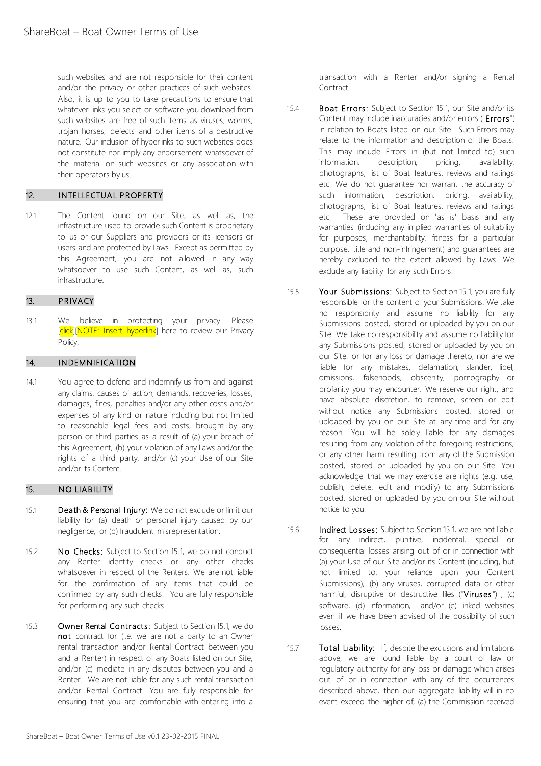such websites and are not responsible for their content and/or the privacy or other practices of such websites. Also, it is up to you to take precautions to ensure that whatever links you select or software you download from such websites are free of such items as viruses, worms, trojan horses, defects and other items of a destructive nature. Our inclusion of hyperlinks to such websites does not constitute nor imply any endorsement whatsoever of the material on such websites or any association with their operators by us.

# 12. INTELLECTUAL PROPERTY

12.1 The Content found on our Site, as well as, the infrastructure used to provide such Content is proprietary to us or our Suppliers and providers or its licensors or users and are protected by Laws. Except as permitted by this Agreement, you are not allowed in any way whatsoever to use such Content, as well as, such infrastructure.

### 13. PRIVACY

13.1 We believe in protecting your privacy. Please [click][NOTE: Insert hyperlink] here to review our Privacy Policy.

## 14. INDEMNIFICATION

14.1 You agree to defend and indemnify us from and against any claims, causes of action, demands, recoveries, losses, damages, fines, penalties and/or any other costs and/or expenses of any kind or nature including but not limited to reasonable legal fees and costs, brought by any person or third parties as a result of (a) your breach of this Agreement, (b) your violation of any Laws and/or the rights of a third party, and/or (c) your Use of our Site and/or its Content.

## 15. NO LIABILITY

- 15.1 Death & Personal Injury: We do not exclude or limit our liability for (a) death or personal injury caused by our negligence, or (b) fraudulent misrepresentation.
- 15.2 No Checks: Subject to Section 15.1, we do not conduct any Renter identity checks or any other checks whatsoever in respect of the Renters. We are not liable for the confirmation of any items that could be confirmed by any such checks. You are fully responsible for performing any such checks.
- 15.3 Owner Rental Contracts: Subject to Section 15.1, we do not contract for (i.e. we are not a party to an Owner rental transaction and/or Rental Contract between you and a Renter) in respect of any Boats listed on our Site, and/or (c) mediate in any disputes between you and a Renter. We are not liable for any such rental transaction and/or Rental Contract. You are fully responsible for ensuring that you are comfortable with entering into a

transaction with a Renter and/or signing a Rental Contract.

- 15.4 **Boat Errors:** Subject to Section 15.1, our Site and/or its Content may include inaccuracies and/or errors ("Errors") in relation to Boats listed on our Site. Such Errors may relate to the information and description of the Boats. This may include Errors in (but not limited to) such information, description, pricing, availability, photographs, list of Boat features, reviews and ratings etc. We do not guarantee nor warrant the accuracy of such information, description, pricing, availability, photographs, list of Boat features, reviews and ratings etc. These are provided on 'as is' basis and any warranties (including any implied warranties of suitability for purposes, merchantability, fitness for a particular purpose, title and non-infringement) and guarantees are hereby excluded to the extent allowed by Laws. We exclude any liability for any such Errors.
- 15.5 Your Submissions: Subject to Section 15.1, you are fully responsible for the content of your Submissions. We take no responsibility and assume no liability for any Submissions posted, stored or uploaded by you on our Site. We take no responsibility and assume no liability for any Submissions posted, stored or uploaded by you on our Site, or for any loss or damage thereto, nor are we liable for any mistakes, defamation, slander, libel, omissions, falsehoods, obscenity, pornography or profanity you may encounter. We reserve our right, and have absolute discretion, to remove, screen or edit without notice any Submissions posted, stored or uploaded by you on our Site at any time and for any reason. You will be solely liable for any damages resulting from any violation of the foregoing restrictions, or any other harm resulting from any of the Submission posted, stored or uploaded by you on our Site. You acknowledge that we may exercise are rights (e.g. use, publish, delete, edit and modify) to any Submissions posted, stored or uploaded by you on our Site without notice to you.
- 15.6 **Indirect Losses:** Subject to Section 15.1, we are not liable for any indirect, punitive, incidental, special or consequential losses arising out of or in connection with (a) your Use of our Site and/or its Content (including, but not limited to, your reliance upon your Content Submissions), (b) any viruses, corrupted data or other harmful, disruptive or destructive files ("Viruses") , (c) software, (d) information, and/or (e) linked websites even if we have been advised of the possibility of such losses.
- 15.7 Total Liability: If, despite the exclusions and limitations above, we are found liable by a court of law or regulatory authority for any loss or damage which arises out of or in connection with any of the occurrences described above, then our aggregate liability will in no event exceed the higher of, (a) the Commission received